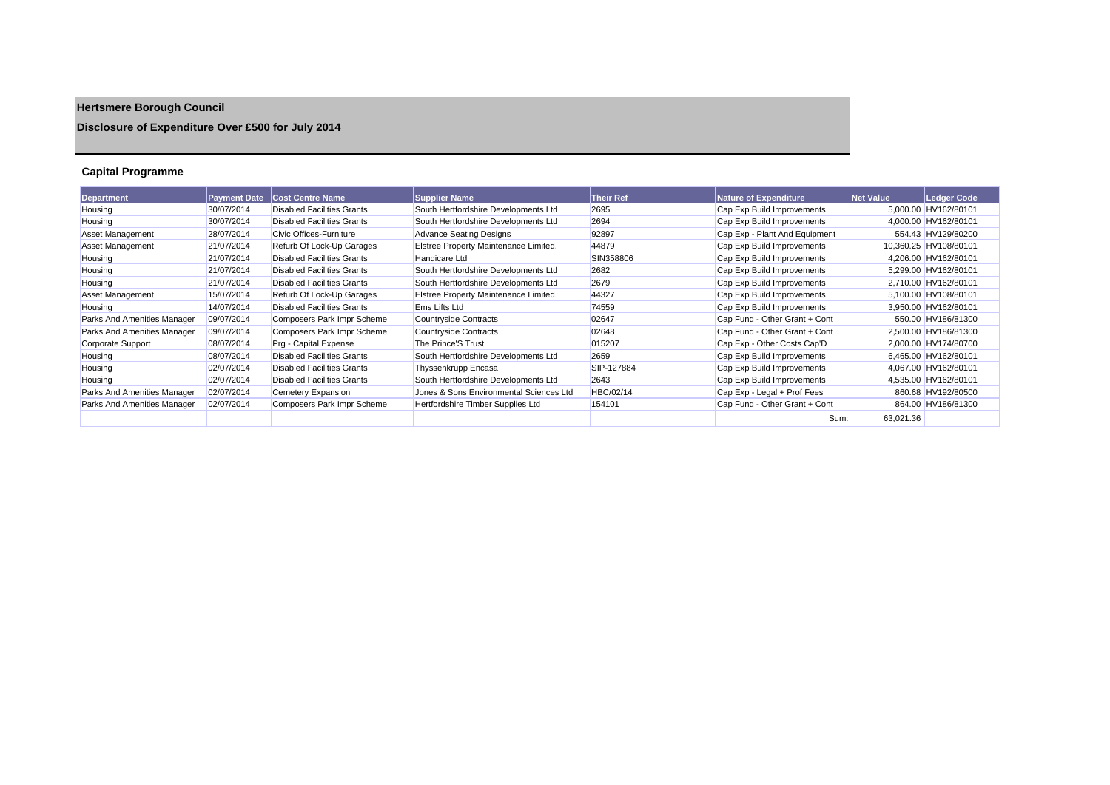# **Hertsmere Borough Council**

### **Disclosure of Expenditure Over £500 for July 2014**

### **Capital Programme**

| Department                  | <b>Payment Date</b> | <b>Cost Centre Name</b>           | <b>Supplier Name</b>                    | Their Ref  | <b>Nature of Expenditure</b>  | <b>Net Value</b> | Ledger Code           |
|-----------------------------|---------------------|-----------------------------------|-----------------------------------------|------------|-------------------------------|------------------|-----------------------|
| Housing                     | 30/07/2014          | <b>Disabled Facilities Grants</b> | South Hertfordshire Developments Ltd    | 2695       | Cap Exp Build Improvements    |                  | 5.000.00 HV162/80101  |
| Housing                     | 30/07/2014          | <b>Disabled Facilities Grants</b> | South Hertfordshire Developments Ltd    | 2694       | Cap Exp Build Improvements    |                  | 4,000.00 HV162/80101  |
| Asset Management            | 28/07/2014          | Civic Offices-Furniture           | <b>Advance Seating Designs</b>          | 92897      | Cap Exp - Plant And Equipment |                  | 554.43 HV129/80200    |
| Asset Management            | 21/07/2014          | Refurb Of Lock-Up Garages         | Elstree Property Maintenance Limited.   | 44879      | Cap Exp Build Improvements    |                  | 10,360.25 HV108/80101 |
| Housing                     | 21/07/2014          | <b>Disabled Facilities Grants</b> | Handicare Ltd                           | SIN358806  | Cap Exp Build Improvements    |                  | 4,206.00 HV162/80101  |
| Housing                     | 21/07/2014          | <b>Disabled Facilities Grants</b> | South Hertfordshire Developments Ltd    | 2682       | Cap Exp Build Improvements    |                  | 5,299.00 HV162/80101  |
| Housing                     | 21/07/2014          | <b>Disabled Facilities Grants</b> | South Hertfordshire Developments Ltd    | 2679       | Cap Exp Build Improvements    |                  | 2,710.00 HV162/80101  |
| Asset Management            | 15/07/2014          | Refurb Of Lock-Up Garages         | Elstree Property Maintenance Limited.   | 44327      | Cap Exp Build Improvements    |                  | 5,100.00 HV108/80101  |
| Housing                     | 14/07/2014          | <b>Disabled Facilities Grants</b> | <b>Ems Lifts Ltd</b>                    | 74559      | Cap Exp Build Improvements    |                  | 3,950.00 HV162/80101  |
| Parks And Amenities Manager | 09/07/2014          | Composers Park Impr Scheme        | <b>Countryside Contracts</b>            | 02647      | Cap Fund - Other Grant + Cont |                  | 550.00 HV186/81300    |
| Parks And Amenities Manager | 09/07/2014          | Composers Park Impr Scheme        | <b>Countryside Contracts</b>            | 02648      | Cap Fund - Other Grant + Cont |                  | 2,500.00 HV186/81300  |
| Corporate Support           | 08/07/2014          | Prg - Capital Expense             | The Prince'S Trust                      | 015207     | Cap Exp - Other Costs Cap'D   |                  | 2.000.00 HV174/80700  |
| Housing                     | 08/07/2014          | <b>Disabled Facilities Grants</b> | South Hertfordshire Developments Ltd    | 2659       | Cap Exp Build Improvements    |                  | 6,465.00 HV162/80101  |
| Housing                     | 02/07/2014          | <b>Disabled Facilities Grants</b> | Thyssenkrupp Encasa                     | SIP-127884 | Cap Exp Build Improvements    |                  | 4,067.00 HV162/80101  |
| Housing                     | 02/07/2014          | <b>Disabled Facilities Grants</b> | South Hertfordshire Developments Ltd    | 2643       | Cap Exp Build Improvements    |                  | 4,535.00 HV162/80101  |
| Parks And Amenities Manager | 02/07/2014          | Cemetery Expansion                | Jones & Sons Environmental Sciences Ltd | HBC/02/14  | Cap Exp - Legal + Prof Fees   |                  | 860.68 HV192/80500    |
| Parks And Amenities Manager | 02/07/2014          | Composers Park Impr Scheme        | Hertfordshire Timber Supplies Ltd       | 154101     | Cap Fund - Other Grant + Cont |                  | 864.00 HV186/81300    |
|                             |                     |                                   |                                         |            | Sum:                          | 63.021.36        |                       |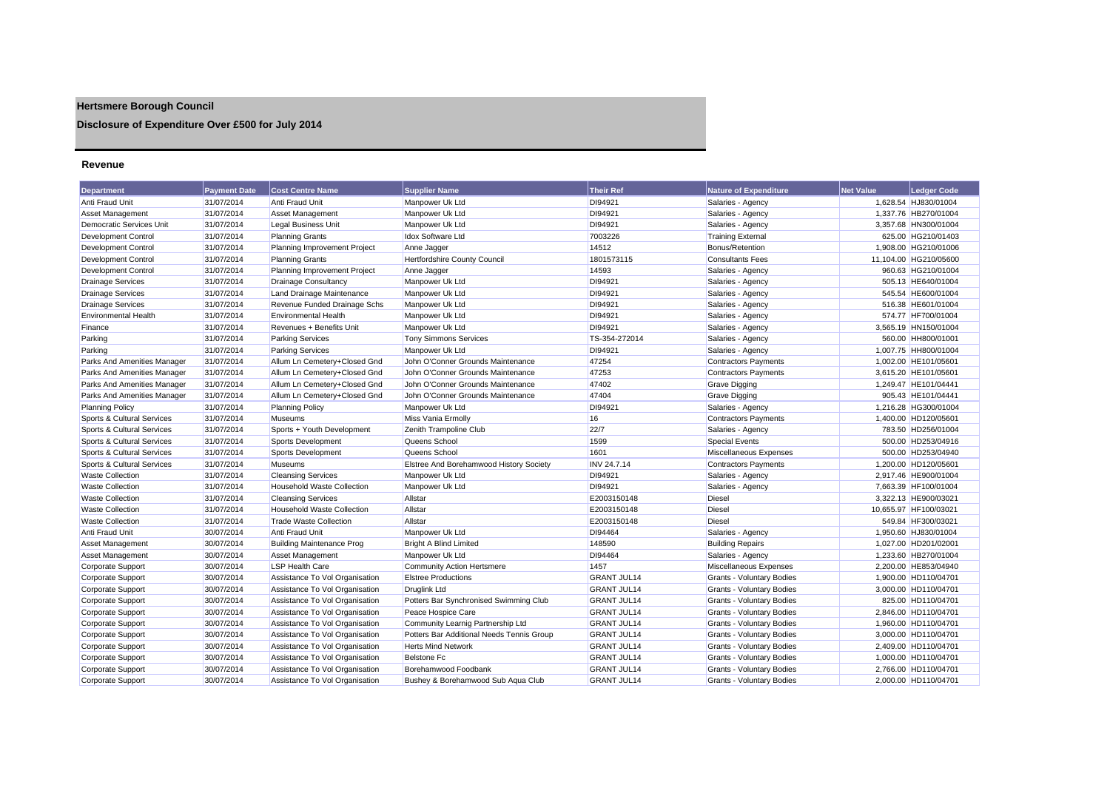## **Hertsmere Borough Council**

**Disclosure of Expenditure Over £500 for July 2014**

#### **Revenue**

| <b>Department</b>           | <b>Payment Date</b> | <b>Cost Centre Name</b>           | <b>Supplier Name</b>                      | <b>Their Ref</b>   | Nature of Expenditure            | <b>Net Value</b> | <b>Ledaer Code</b>    |
|-----------------------------|---------------------|-----------------------------------|-------------------------------------------|--------------------|----------------------------------|------------------|-----------------------|
| Anti Fraud Unit             | 31/07/2014          | Anti Fraud Unit                   | Manpower Uk Ltd                           | DI94921            | Salaries - Agency                |                  | 1,628.54 HJ830/01004  |
| <b>Asset Management</b>     | 31/07/2014          | <b>Asset Management</b>           | Manpower Uk Ltd                           | DI94921            | Salaries - Agency                |                  | 1,337.76 HB270/01004  |
| Democratic Services Unit    | 31/07/2014          | Legal Business Unit               | Manpower Uk Ltd                           | DI94921            | Salaries - Agency                |                  | 3,357.68 HN300/01004  |
| Development Control         | 31/07/2014          | <b>Planning Grants</b>            | <b>Idox Software Ltd</b>                  | 7003226            | <b>Training External</b>         |                  | 625.00 HG210/01403    |
| Development Control         | 31/07/2014          | Planning Improvement Project      | Anne Jagger                               | 14512              | Bonus/Retention                  |                  | 1,908.00 HG210/01006  |
| Development Control         | 31/07/2014          | <b>Planning Grants</b>            | Hertfordshire County Council              | 1801573115         | <b>Consultants Fees</b>          |                  | 11,104.00 HG210/05600 |
| Development Control         | 31/07/2014          | Planning Improvement Project      | Anne Jagger                               | 14593              | Salaries - Agency                |                  | 960.63 HG210/01004    |
| <b>Drainage Services</b>    | 31/07/2014          | <b>Drainage Consultancy</b>       | Manpower Uk Ltd                           | DI94921            | Salaries - Agency                |                  | 505.13 HE640/01004    |
| <b>Drainage Services</b>    | 31/07/2014          | Land Drainage Maintenance         | Manpower Uk Ltd                           | DI94921            | Salaries - Agency                |                  | 545.54 HE600/01004    |
| <b>Drainage Services</b>    | 31/07/2014          | Revenue Funded Drainage Schs      | Manpower Uk Ltd                           | DI94921            | Salaries - Agency                |                  | 516.38 HE601/01004    |
| <b>Environmental Health</b> | 31/07/2014          | <b>Environmental Health</b>       | Manpower Uk Ltd                           | DI94921            | Salaries - Agency                |                  | 574.77 HF700/01004    |
| Finance                     | 31/07/2014          | Revenues + Benefits Unit          | Manpower Uk Ltd                           | DI94921            | Salaries - Agency                |                  | 3,565.19 HN150/01004  |
| Parking                     | 31/07/2014          | <b>Parking Services</b>           | <b>Tony Simmons Services</b>              | TS-354-272014      | Salaries - Agency                |                  | 560.00 HH800/01001    |
| Parking                     | 31/07/2014          | <b>Parking Services</b>           | Manpower Uk Ltd                           | DI94921            | Salaries - Agency                |                  | 1,007.75 HH800/01004  |
| Parks And Amenities Manager | 31/07/2014          | Allum Ln Cemetery+Closed Gnd      | John O'Conner Grounds Maintenance         | 47254              | <b>Contractors Payments</b>      |                  | 1,002.00 HE101/05601  |
| Parks And Amenities Manager | 31/07/2014          | Allum Ln Cemetery+Closed Gnd      | John O'Conner Grounds Maintenance         | 47253              | <b>Contractors Payments</b>      |                  | 3.615.20 HE101/05601  |
| Parks And Amenities Manager | 31/07/2014          | Allum Ln Cemetery+Closed Gnd      | John O'Conner Grounds Maintenance         | 47402              | <b>Grave Digging</b>             |                  | 1,249.47 HE101/04441  |
| Parks And Amenities Manager | 31/07/2014          | Allum Ln Cemetery+Closed Gnd      | John O'Conner Grounds Maintenance         | 47404              | <b>Grave Digging</b>             |                  | 905.43 HE101/04441    |
| <b>Planning Policy</b>      | 31/07/2014          | <b>Planning Policy</b>            | Manpower Uk Ltd                           | DI94921            | Salaries - Agency                |                  | 1,216.28 HG300/01004  |
| Sports & Cultural Services  | 31/07/2014          | Museums                           | <b>Miss Vania Ermolly</b>                 | 16                 | <b>Contractors Payments</b>      |                  | 1,400.00 HD120/05601  |
| Sports & Cultural Services  | 31/07/2014          | Sports + Youth Development        | Zenith Trampoline Club                    | 22/7               | Salaries - Agency                |                  | 783.50 HD256/01004    |
| Sports & Cultural Services  | 31/07/2014          | Sports Development                | Queens School                             | 1599               | <b>Special Events</b>            |                  | 500.00 HD253/04916    |
| Sports & Cultural Services  | 31/07/2014          | <b>Sports Development</b>         | Queens School                             | 1601               | Miscellaneous Expenses           |                  | 500.00 HD253/04940    |
| Sports & Cultural Services  | 31/07/2014          | Museums                           | Elstree And Borehamwood History Society   | <b>INV 24.7.14</b> | <b>Contractors Payments</b>      |                  | 1,200.00 HD120/05601  |
| <b>Waste Collection</b>     | 31/07/2014          | <b>Cleansing Services</b>         | Manpower Uk Ltd                           | DI94921            | Salaries - Agency                |                  | 2,917.46 HE900/01004  |
| <b>Waste Collection</b>     | 31/07/2014          | <b>Household Waste Collection</b> | Manpower Uk Ltd                           | DI94921            | Salaries - Agency                |                  | 7,663.39 HF100/01004  |
| <b>Waste Collection</b>     | 31/07/2014          | <b>Cleansing Services</b>         | Allstar                                   | E2003150148        | <b>Diesel</b>                    |                  | 3,322.13 HE900/03021  |
| <b>Waste Collection</b>     | 31/07/2014          | <b>Household Waste Collection</b> | Allstar                                   | E2003150148        | <b>Diesel</b>                    |                  | 10,655.97 HF100/03021 |
| <b>Waste Collection</b>     | 31/07/2014          | <b>Trade Waste Collection</b>     | Allstar                                   | E2003150148        | <b>Diesel</b>                    |                  | 549.84 HF300/03021    |
| Anti Fraud Unit             | 30/07/2014          | Anti Fraud Unit                   | Manpower Uk Ltd                           | DI94464            | Salaries - Agency                |                  | 1,950.60 HJ830/01004  |
| Asset Management            | 30/07/2014          | <b>Building Maintenance Prog</b>  | <b>Bright A Blind Limited</b>             | 148590             | <b>Building Repairs</b>          |                  | 1,027.00 HD201/02001  |
| Asset Management            | 30/07/2014          | <b>Asset Management</b>           | Manpower Uk Ltd                           | DI94464            | Salaries - Agency                |                  | 1,233.60 HB270/01004  |
| Corporate Support           | 30/07/2014          | <b>LSP Health Care</b>            | <b>Community Action Hertsmere</b>         | 1457               | Miscellaneous Expenses           |                  | 2,200.00 HE853/04940  |
| Corporate Support           | 30/07/2014          | Assistance To Vol Organisation    | <b>Elstree Productions</b>                | <b>GRANT JUL14</b> | Grants - Voluntary Bodies        |                  | 1.900.00 HD110/04701  |
| Corporate Support           | 30/07/2014          | Assistance To Vol Organisation    | <b>Druglink Ltd</b>                       | <b>GRANT JUL14</b> | Grants - Voluntary Bodies        |                  | 3,000.00 HD110/04701  |
| <b>Corporate Support</b>    | 30/07/2014          | Assistance To Vol Organisation    | Potters Bar Synchronised Swimming Club    | <b>GRANT JUL14</b> | <b>Grants - Voluntary Bodies</b> |                  | 825.00 HD110/04701    |
| Corporate Support           | 30/07/2014          | Assistance To Vol Organisation    | Peace Hospice Care                        | <b>GRANT JUL14</b> | Grants - Voluntary Bodies        |                  | 2,846.00 HD110/04701  |
| Corporate Support           | 30/07/2014          | Assistance To Vol Organisation    | Community Learnig Partnership Ltd         | <b>GRANT JUL14</b> | <b>Grants - Voluntary Bodies</b> |                  | 1,960.00 HD110/04701  |
| Corporate Support           | 30/07/2014          | Assistance To Vol Organisation    | Potters Bar Additional Needs Tennis Group | <b>GRANT JUL14</b> | <b>Grants - Voluntary Bodies</b> |                  | 3,000.00 HD110/04701  |
| Corporate Support           | 30/07/2014          | Assistance To Vol Organisation    | <b>Herts Mind Network</b>                 | <b>GRANT JUL14</b> | Grants - Voluntary Bodies        |                  | 2,409.00 HD110/04701  |
| Corporate Support           | 30/07/2014          | Assistance To Vol Organisation    | Belstone Fc                               | <b>GRANT JUL14</b> | <b>Grants - Voluntary Bodies</b> |                  | 1,000.00 HD110/04701  |
| <b>Corporate Support</b>    | 30/07/2014          | Assistance To Vol Organisation    | Borehamwood Foodbank                      | <b>GRANT JUL14</b> | <b>Grants - Voluntary Bodies</b> |                  | 2.766.00 HD110/04701  |
| Corporate Support           | 30/07/2014          | Assistance To Vol Organisation    | Bushey & Borehamwood Sub Aqua Club        | <b>GRANT JUL14</b> | <b>Grants - Voluntary Bodies</b> |                  | 2,000.00 HD110/04701  |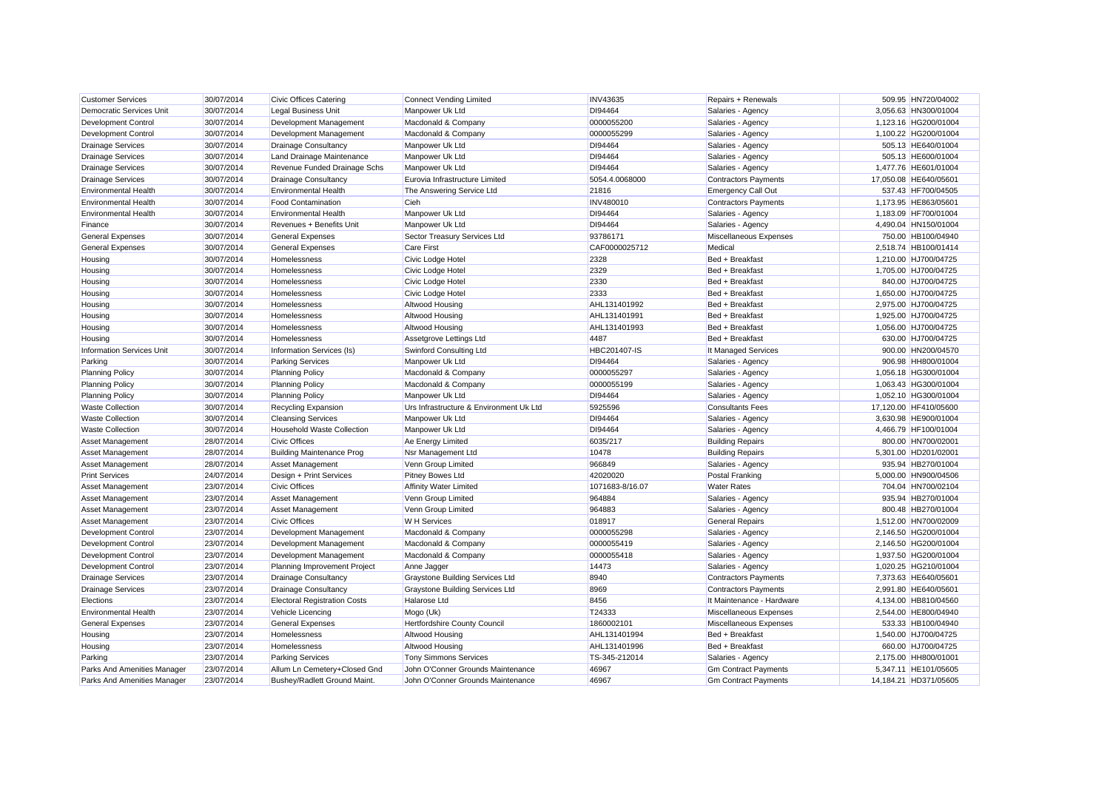| <b>Customer Services</b>               | 30/07/2014               | <b>Civic Offices Catering</b>                           | <b>Connect Vending Limited</b>                                    | <b>INV43635</b>        | Repairs + Renewals                               | 509.95 HN720/04002                           |
|----------------------------------------|--------------------------|---------------------------------------------------------|-------------------------------------------------------------------|------------------------|--------------------------------------------------|----------------------------------------------|
| Democratic Services Unit               | 30/07/2014               | <b>Legal Business Unit</b>                              | Manpower Uk Ltd                                                   | DI94464                | Salaries - Agency                                | 3,056.63 HN300/01004                         |
| <b>Development Control</b>             | 30/07/2014               | Development Management                                  | Macdonald & Company                                               | 0000055200             | Salaries - Agency                                | 1.123.16 HG200/01004                         |
| <b>Development Control</b>             | 30/07/2014               | Development Management                                  | Macdonald & Company                                               | 0000055299             | Salaries - Agency                                | 1,100.22 HG200/01004                         |
| <b>Drainage Services</b>               | 30/07/2014               | <b>Drainage Consultancy</b>                             | Manpower Uk Ltd                                                   | DI94464                | Salaries - Agency                                | 505.13 HE640/01004                           |
| <b>Drainage Services</b>               | 30/07/2014               | Land Drainage Maintenance                               | Manpower Uk Ltd                                                   | DI94464                | Salaries - Agency                                | 505.13 HE600/01004                           |
| <b>Drainage Services</b>               | 30/07/2014               | Revenue Funded Drainage Schs                            | Manpower Uk Ltd                                                   | DI94464                | Salaries - Agency                                | 1,477.76 HE601/01004                         |
| <b>Drainage Services</b>               | 30/07/2014               | <b>Drainage Consultancy</b>                             | Eurovia Infrastructure Limited                                    | 5054.4.0068000         | <b>Contractors Payments</b>                      | 17,050.08 HE640/05601                        |
| Environmental Health                   | 30/07/2014               | <b>Environmental Health</b>                             | The Answering Service Ltd                                         | 21816                  | <b>Emergency Call Out</b>                        | 537.43 HF700/04505                           |
| <b>Environmental Health</b>            | 30/07/2014               | <b>Food Contamination</b>                               | Cieh                                                              | <b>INV480010</b>       | <b>Contractors Payments</b>                      | 1,173.95 HE863/05601                         |
| <b>Environmental Health</b>            | 30/07/2014               | <b>Environmental Health</b>                             | Manpower Uk Ltd                                                   | DI94464                | Salaries - Agency                                | 1.183.09 HF700/01004                         |
| Finance                                | 30/07/2014               | Revenues + Benefits Unit                                | Manpower Uk Ltd                                                   | DI94464                | Salaries - Agency                                | 4,490.04 HN150/01004                         |
| <b>General Expenses</b>                | 30/07/2014               | <b>General Expenses</b>                                 | Sector Treasury Services Ltd                                      | 93786171               | Miscellaneous Expenses                           | 750.00 HB100/04940                           |
| <b>General Expenses</b>                | 30/07/2014               | <b>General Expenses</b>                                 | <b>Care First</b>                                                 | CAF0000025712          | Medical                                          | 2,518.74 HB100/01414                         |
| Housing                                | 30/07/2014               | Homelessness                                            | Civic Lodge Hotel                                                 | 2328                   | Bed + Breakfast                                  | 1,210.00 HJ700/04725                         |
| Housing                                | 30/07/2014               | Homelessness                                            | Civic Lodge Hotel                                                 | 2329                   | Bed + Breakfast                                  | 1,705.00 HJ700/04725                         |
| Housing                                | 30/07/2014               | Homelessness                                            | Civic Lodge Hotel                                                 | 2330                   | Bed + Breakfast                                  | 840.00 HJ700/04725                           |
| Housing                                | 30/07/2014               | Homelessness                                            | Civic Lodge Hotel                                                 | 2333                   | Bed + Breakfast                                  | 1,650.00 HJ700/04725                         |
| Housing                                | 30/07/2014               | Homelessness                                            | Altwood Housing                                                   | AHL131401992           | Bed + Breakfast                                  | 2.975.00 HJ700/04725                         |
| Housing                                | 30/07/2014               | Homelessness                                            | Altwood Housing                                                   | AHL131401991           | Bed + Breakfast                                  | 1,925.00 HJ700/04725                         |
| Housing                                | 30/07/2014               | Homelessness                                            | Altwood Housing                                                   | AHL131401993           | Bed + Breakfast                                  | 1,056.00 HJ700/04725                         |
| Housing                                | 30/07/2014               | Homelessness                                            | Assetgrove Lettings Ltd                                           | 4487                   | Bed + Breakfast                                  | 630.00 HJ700/04725                           |
| <b>Information Services Unit</b>       | 30/07/2014               | Information Services (Is)                               | Swinford Consulting Ltd                                           | <b>HBC201407-IS</b>    | It Managed Services                              | 900.00 HN200/04570                           |
| Parking                                | 30/07/2014               | <b>Parking Services</b>                                 | Manpower Uk Ltd                                                   | DI94464                | Salaries - Agency                                | 906.98 HH800/01004                           |
| <b>Planning Policy</b>                 | 30/07/2014               | <b>Planning Policy</b>                                  | Macdonald & Company                                               | 0000055297             | Salaries - Agency                                | 1,056.18 HG300/01004                         |
| <b>Planning Policy</b>                 | 30/07/2014               | <b>Planning Policy</b>                                  | Macdonald & Company                                               | 0000055199             | Salaries - Agency                                | 1,063.43 HG300/01004                         |
| <b>Planning Policy</b>                 | 30/07/2014               | <b>Planning Policy</b>                                  | Manpower Uk Ltd                                                   | DI94464                | Salaries - Agency                                | 1,052.10 HG300/01004                         |
| <b>Waste Collection</b>                | 30/07/2014               | <b>Recycling Expansion</b>                              | Urs Infrastructure & Environment Uk Ltd                           | 5925596                | <b>Consultants Fees</b>                          | 17,120.00 HF410/05600                        |
| <b>Waste Collection</b>                | 30/07/2014               | <b>Cleansing Services</b>                               | Manpower Uk Ltd                                                   | DI94464                | Salaries - Agency                                | 3,630.98 HE900/01004                         |
| <b>Waste Collection</b>                | 30/07/2014               | <b>Household Waste Collection</b>                       | Manpower Uk Ltd                                                   | DI94464                | Salaries - Agency                                | 4,466.79 HF100/01004                         |
| <b>Asset Management</b>                | 28/07/2014               | <b>Civic Offices</b>                                    | Ae Energy Limited                                                 | 6035/217               | <b>Building Repairs</b>                          | 800.00 HN700/0200                            |
| Asset Management                       | 28/07/2014               | <b>Building Maintenance Prog</b>                        | Nsr Management Ltd                                                | 10478                  | <b>Building Repairs</b>                          | 5,301.00 HD201/0200                          |
| <b>Asset Management</b>                | 28/07/2014               | <b>Asset Management</b>                                 | Venn Group Limited                                                | 966849                 | Salaries - Agency                                | 935.94 HB270/01004                           |
| <b>Print Services</b>                  | 24/07/2014               | Design + Print Services                                 | <b>Pitney Bowes Ltd</b>                                           | 42020020               | <b>Postal Franking</b>                           | 5,000.00 HN900/04506                         |
| <b>Asset Management</b>                | 23/07/2014               | <b>Civic Offices</b>                                    | <b>Affinity Water Limited</b>                                     | 1071683-8/16.07        | <b>Water Rates</b>                               | 704.04 HN700/02104                           |
| Asset Management                       | 23/07/2014               | Asset Management                                        | Venn Group Limited                                                | 964884                 | Salaries - Agency                                | 935.94 HB270/01004                           |
| Asset Management                       | 23/07/2014               | Asset Management                                        | Venn Group Limited                                                | 964883                 | Salaries - Agency                                | 800.48 HB270/01004                           |
| <b>Asset Management</b>                | 23/07/2014               | <b>Civic Offices</b>                                    | <b>W</b> H Services                                               | 018917                 | <b>General Repairs</b>                           | 1,512.00 HN700/02009                         |
| <b>Development Control</b>             | 23/07/2014               | Development Management                                  | Macdonald & Company                                               | 0000055298             | Salaries - Agency                                | 2,146.50 HG200/01004                         |
| <b>Development Control</b>             | 23/07/2014               | Development Management                                  | Macdonald & Company                                               | 0000055419             | Salaries - Agency                                | 2,146.50 HG200/01004                         |
| <b>Development Control</b>             | 23/07/2014               | Development Management                                  | Macdonald & Company                                               | 0000055418             | Salaries - Agency                                | 1,937.50 HG200/01004                         |
| <b>Development Control</b>             | 23/07/2014               | Planning Improvement Project                            | Anne Jagger                                                       | 14473                  | Salaries - Agency                                | 1,020.25 HG210/01004                         |
| <b>Drainage Services</b>               | 23/07/2014               | <b>Drainage Consultancy</b>                             | <b>Graystone Building Services Ltd</b>                            | 8940                   | <b>Contractors Payments</b>                      | 7,373.63 HE640/05601                         |
| <b>Drainage Services</b>               | 23/07/2014               | <b>Drainage Consultancy</b>                             | <b>Graystone Building Services Ltd</b>                            | 8969                   | <b>Contractors Payments</b>                      | 2,991.80 HE640/05601                         |
| Elections                              | 23/07/2014               | <b>Electoral Registration Costs</b>                     | Halarose Ltd                                                      | 8456                   | It Maintenance - Hardware                        | 4,134.00 HB810/04560                         |
| <b>Environmental Health</b>            | 23/07/2014               | Vehicle Licencing                                       | Mogo (Uk)                                                         | T24333                 | Miscellaneous Expenses                           | 2,544.00 HE800/04940                         |
| <b>General Expenses</b>                | 23/07/2014               | <b>General Expenses</b>                                 | <b>Hertfordshire County Council</b>                               | 1860002101             | Miscellaneous Expenses                           | 533.33 HB100/04940                           |
| Housing                                | 23/07/2014               | Homelessness                                            | Altwood Housing                                                   | AHL131401994           | Bed + Breakfast                                  | 1,540.00 HJ700/04725                         |
|                                        | 23/07/2014               | Homelessness                                            |                                                                   | AHL131401996           |                                                  | 660.00 HJ700/04725                           |
| Housing                                |                          |                                                         | Altwood Housing                                                   |                        | Bed + Breakfast                                  |                                              |
| Parking<br>Parks And Amenities Manager | 23/07/2014<br>23/07/2014 | <b>Parking Services</b><br>Allum Ln Cemetery+Closed Gnd | <b>Tony Simmons Services</b><br>John O'Conner Grounds Maintenance | TS-345-212014<br>46967 | Salaries - Agency<br><b>Gm Contract Payments</b> | 2,175.00 HH800/01001<br>5.347.11 HE101/05605 |
|                                        |                          |                                                         |                                                                   |                        |                                                  |                                              |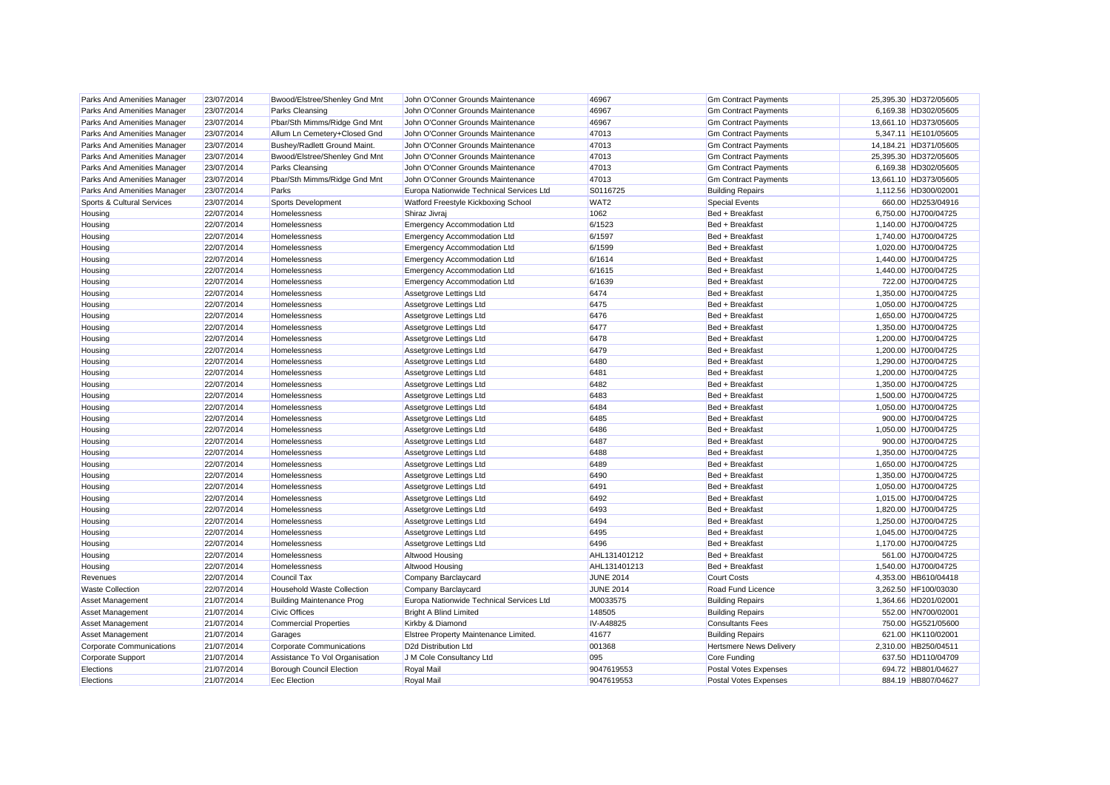| Parks And Amenities Manager | 23/07/2014 | Bwood/Elstree/Shenley Gnd Mnt    | John O'Conner Grounds Maintenance        | 46967            | <b>Gm Contract Payments</b>    | 25,395.30 HD372/05605 |
|-----------------------------|------------|----------------------------------|------------------------------------------|------------------|--------------------------------|-----------------------|
| Parks And Amenities Manager | 23/07/2014 | <b>Parks Cleansing</b>           | John O'Conner Grounds Maintenance        | 46967            | <b>Gm Contract Payments</b>    | 6,169.38 HD302/05605  |
| Parks And Amenities Manager | 23/07/2014 | Pbar/Sth Mimms/Ridge Gnd Mnt     | John O'Conner Grounds Maintenance        | 46967            | Gm Contract Payments           | 13,661.10 HD373/05605 |
| Parks And Amenities Manager | 23/07/2014 | Allum Ln Cemetery+Closed Gnd     | John O'Conner Grounds Maintenance        | 47013            | <b>Gm Contract Payments</b>    | 5,347.11 HE101/05605  |
| Parks And Amenities Manager | 23/07/2014 | Bushey/Radlett Ground Maint.     | John O'Conner Grounds Maintenance        | 47013            | <b>Gm Contract Payments</b>    | 14,184.21 HD371/05605 |
| Parks And Amenities Manager | 23/07/2014 | Bwood/Elstree/Shenley Gnd Mnt    | John O'Conner Grounds Maintenance        | 47013            | <b>Gm Contract Payments</b>    | 25,395.30 HD372/05605 |
| Parks And Amenities Manager | 23/07/2014 | <b>Parks Cleansing</b>           | John O'Conner Grounds Maintenance        | 47013            | <b>Gm Contract Payments</b>    | 6,169.38 HD302/05605  |
| Parks And Amenities Manager | 23/07/2014 | Pbar/Sth Mimms/Ridge Gnd Mnt     | John O'Conner Grounds Maintenance        | 47013            | <b>Gm Contract Payments</b>    | 13,661.10 HD373/05605 |
| Parks And Amenities Manager | 23/07/2014 | Parks                            | Europa Nationwide Technical Services Ltd | S0116725         | <b>Building Repairs</b>        | 1,112.56 HD300/02001  |
| Sports & Cultural Services  | 23/07/2014 | Sports Development               | Watford Freestyle Kickboxing School      | WAT <sub>2</sub> | <b>Special Events</b>          | 660.00 HD253/04916    |
| Housing                     | 22/07/2014 | Homelessness                     | Shiraz Jivraj                            | 1062             | Bed + Breakfast                | 6,750.00 HJ700/04725  |
| Housing                     | 22/07/2014 | Homelessness                     | <b>Emergency Accommodation Ltd</b>       | 6/1523           | Bed + Breakfast                | 1,140.00 HJ700/04725  |
| Housing                     | 22/07/2014 | Homelessness                     | <b>Emergency Accommodation Ltd</b>       | 6/1597           | Bed + Breakfast                | 1,740.00 HJ700/04725  |
| Housing                     | 22/07/2014 | Homelessness                     | <b>Emergency Accommodation Ltd</b>       | 6/1599           | Bed + Breakfast                | 1,020.00 HJ700/04725  |
| Housing                     | 22/07/2014 | Homelessness                     | <b>Emergency Accommodation Ltd</b>       | 6/1614           | Bed + Breakfast                | 1,440.00 HJ700/04725  |
| Housing                     | 22/07/2014 | Homelessness                     | <b>Emergency Accommodation Ltd</b>       | 6/1615           | Bed + Breakfast                | 1,440.00 HJ700/04725  |
| Housing                     | 22/07/2014 | Homelessness                     | <b>Emergency Accommodation Ltd</b>       | 6/1639           | Bed + Breakfast                | 722.00 HJ700/04725    |
| Housing                     | 22/07/2014 | Homelessness                     | Assetgrove Lettings Ltd                  | 6474             | Bed + Breakfast                | 1,350.00 HJ700/04725  |
| Housing                     | 22/07/2014 | Homelessness                     | Assetgrove Lettings Ltd                  | 6475             | Bed + Breakfast                | 1,050.00 HJ700/04725  |
| Housing                     | 22/07/2014 | Homelessness                     | Assetgrove Lettings Ltd                  | 6476             | Bed + Breakfast                | 1,650.00 HJ700/04725  |
| Housing                     | 22/07/2014 | Homelessness                     | Assetgrove Lettings Ltd                  | 6477             | Bed + Breakfast                | 1,350.00 HJ700/04725  |
| Housing                     | 22/07/2014 | Homelessness                     | Assetgrove Lettings Ltd                  | 6478             | Bed + Breakfast                | 1,200.00 HJ700/04725  |
| Housing                     | 22/07/2014 | Homelessness                     | Assetgrove Lettings Ltd                  | 6479             | Bed + Breakfast                | 1,200.00 HJ700/04725  |
| Housing                     | 22/07/2014 | Homelessness                     | Assetgrove Lettings Ltd                  | 6480             | Bed + Breakfast                | 1,290.00 HJ700/04725  |
| Housing                     | 22/07/2014 | Homelessness                     | Assetgrove Lettings Ltd                  | 6481             | Bed + Breakfast                | 1,200.00 HJ700/04725  |
| Housing                     | 22/07/2014 | Homelessness                     | Assetgrove Lettings Ltd                  | 6482             | Bed + Breakfast                | 1,350.00 HJ700/04725  |
|                             |            |                                  |                                          |                  |                                |                       |
| Housing                     | 22/07/2014 | Homelessness                     | Assetgrove Lettings Ltd                  | 6483             | Bed + Breakfast                | 1,500.00 HJ700/04725  |
| Housing                     | 22/07/2014 | Homelessness                     | Assetgrove Lettings Ltd                  | 6484             | Bed + Breakfast                | 1,050.00 HJ700/04725  |
| Housing                     | 22/07/2014 | Homelessness                     | Assetgrove Lettings Ltd                  | 6485             | Bed + Breakfast                | 900.00 HJ700/04725    |
| Housing                     | 22/07/2014 | Homelessness                     | Assetgrove Lettings Ltd                  | 6486             | Bed + Breakfast                | 1,050.00 HJ700/04725  |
| Housing                     | 22/07/2014 | Homelessness                     | Assetgrove Lettings Ltd                  | 6487             | Bed + Breakfast                | 900.00 HJ700/04725    |
| Housing                     | 22/07/2014 | Homelessness                     | Assetgrove Lettings Ltd                  | 6488             | Bed + Breakfast                | 1,350.00 HJ700/04725  |
| Housing                     | 22/07/2014 | Homelessness                     | Assetgrove Lettings Ltd                  | 6489             | Bed + Breakfast                | 1,650.00 HJ700/04725  |
| Housing                     | 22/07/2014 | Homelessness                     | Assetgrove Lettings Ltd                  | 6490             | Bed + Breakfast                | 1,350.00 HJ700/04725  |
| Housing                     | 22/07/2014 | Homelessness                     | Assetgrove Lettings Ltd                  | 6491             | Bed + Breakfast                | 1,050.00 HJ700/04725  |
| Housing                     | 22/07/2014 | Homelessness                     | Assetgrove Lettings Ltd                  | 6492             | Bed + Breakfast                | 1,015.00 HJ700/04725  |
| Housing                     | 22/07/2014 | Homelessness                     | Assetgrove Lettings Ltd                  | 6493             | Bed + Breakfast                | 1,820.00 HJ700/04725  |
| Housing                     | 22/07/2014 | Homelessness                     | Assetgrove Lettings Ltd                  | 6494             | Bed + Breakfast                | 1,250.00 HJ700/04725  |
| Housing                     | 22/07/2014 | Homelessness                     | Assetgrove Lettings Ltd                  | 6495             | Bed + Breakfast                | 1,045.00 HJ700/04725  |
| Housing                     | 22/07/2014 | Homelessness                     | Assetgrove Lettings Ltd                  | 6496             | Bed + Breakfast                | 1,170.00 HJ700/04725  |
| Housing                     | 22/07/2014 | Homelessness                     | Altwood Housing                          | AHL131401212     | Bed + Breakfast                | 561.00 HJ700/04725    |
| Housing                     | 22/07/2014 | Homelessness                     | Altwood Housing                          | AHL131401213     | Bed + Breakfast                | 1,540.00 HJ700/04725  |
| Revenues                    | 22/07/2014 | Council Tax                      | Company Barclaycard                      | <b>JUNE 2014</b> | <b>Court Costs</b>             | 4,353.00 HB610/04418  |
| <b>Waste Collection</b>     | 22/07/2014 | Household Waste Collection       | Company Barclaycard                      | <b>JUNE 2014</b> | Road Fund Licence              | 3,262.50 HF100/03030  |
| <b>Asset Management</b>     | 21/07/2014 | <b>Building Maintenance Prog</b> | Europa Nationwide Technical Services Ltd | M0033575         | <b>Building Repairs</b>        | 1,364.66 HD201/02001  |
| <b>Asset Management</b>     | 21/07/2014 | <b>Civic Offices</b>             | <b>Bright A Blind Limited</b>            | 148505           | <b>Building Repairs</b>        | 552.00 HN700/02001    |
| Asset Management            | 21/07/2014 | Commercial Properties            | Kirkby & Diamond                         | IV-A48825        | <b>Consultants Fees</b>        | 750.00 HG521/05600    |
| Asset Management            | 21/07/2014 | Garages                          | Elstree Property Maintenance Limited.    | 41677            | <b>Building Repairs</b>        | 621.00 HK110/02001    |
| Corporate Communications    | 21/07/2014 | Corporate Communications         | D2d Distribution Ltd                     | 001368           | <b>Hertsmere News Delivery</b> | 2,310.00 HB250/04511  |
| Corporate Support           | 21/07/2014 | Assistance To Vol Organisation   | J M Cole Consultancy Ltd                 | 095              | Core Funding                   | 637.50 HD110/04709    |
| Elections                   | 21/07/2014 | <b>Borough Council Election</b>  | Royal Mail                               | 9047619553       | <b>Postal Votes Expenses</b>   | 694.72 HB801/04627    |
| Elections                   | 21/07/2014 | Eec Election                     | <b>Royal Mail</b>                        | 9047619553       | Postal Votes Expenses          | 884.19 HB807/04627    |
|                             |            |                                  |                                          |                  |                                |                       |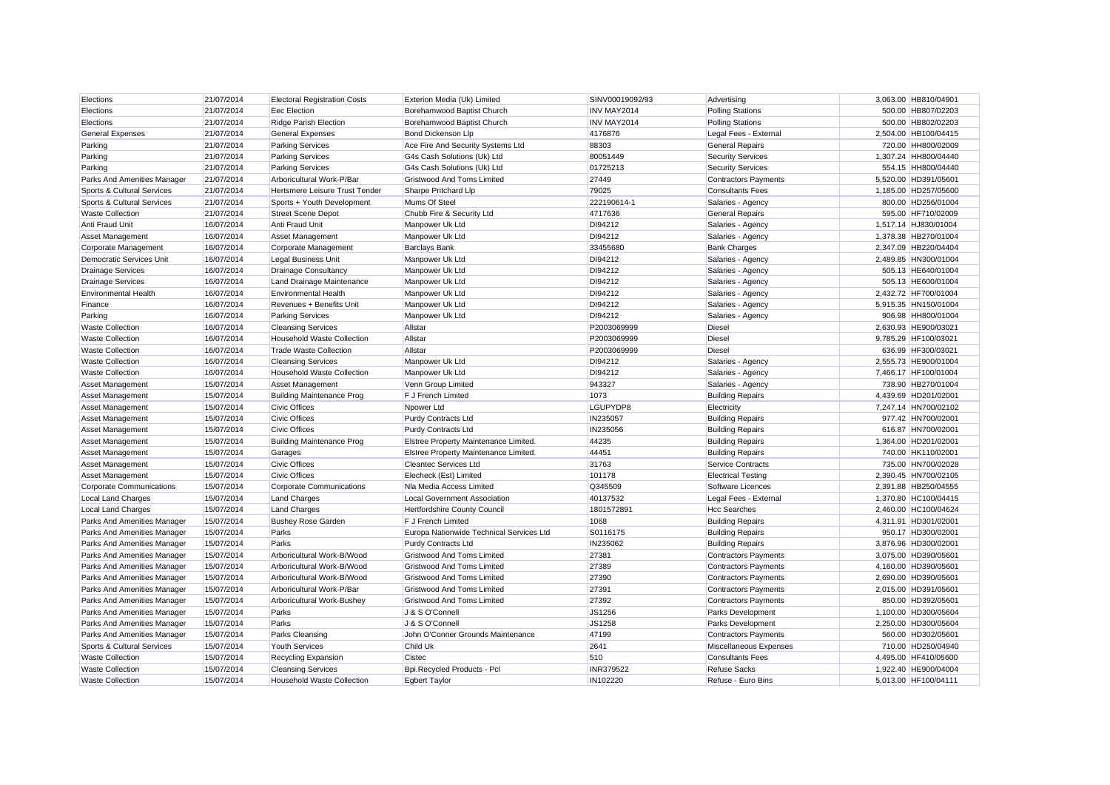| <b>Electoral Registration Costs</b><br>Eec Election |                                                                                                                            |                                                                                                                                               | Advertising                                                       |                                                                                                                                                                                                        |
|-----------------------------------------------------|----------------------------------------------------------------------------------------------------------------------------|-----------------------------------------------------------------------------------------------------------------------------------------------|-------------------------------------------------------------------|--------------------------------------------------------------------------------------------------------------------------------------------------------------------------------------------------------|
|                                                     | Borehamwood Baptist Church                                                                                                 | INV MAY2014                                                                                                                                   | <b>Polling Stations</b>                                           | 500.00 HB807/02203                                                                                                                                                                                     |
| <b>Ridge Parish Election</b>                        | Borehamwood Baptist Church                                                                                                 | INV MAY2014                                                                                                                                   | <b>Polling Stations</b>                                           | 500.00 HB802/02203                                                                                                                                                                                     |
| <b>General Expenses</b>                             | <b>Bond Dickenson Llp</b>                                                                                                  | 4176876                                                                                                                                       | Legal Fees - External                                             | 2,504.00 HB100/04415                                                                                                                                                                                   |
| <b>Parking Services</b>                             | Ace Fire And Security Systems Ltd                                                                                          | 88303                                                                                                                                         | <b>General Repairs</b>                                            | 720.00 HH800/02009                                                                                                                                                                                     |
| <b>Parking Services</b>                             | G4s Cash Solutions (Uk) Ltd                                                                                                | 80051449                                                                                                                                      | <b>Security Services</b>                                          | 1.307.24 HH800/04440                                                                                                                                                                                   |
| <b>Parking Services</b>                             | G4s Cash Solutions (Uk) Ltd                                                                                                | 01725213                                                                                                                                      | <b>Security Services</b>                                          | 554.15 HH800/04440                                                                                                                                                                                     |
| Arboricultural Work-P/Bar                           | Gristwood And Toms Limited                                                                                                 | 27449                                                                                                                                         | <b>Contractors Payments</b>                                       | 5.520.00 HD391/05601                                                                                                                                                                                   |
| Hertsmere Leisure Trust Tender                      | Sharpe Pritchard Llp                                                                                                       | 79025                                                                                                                                         | <b>Consultants Fees</b>                                           | 1,185.00 HD257/05600                                                                                                                                                                                   |
| Sports + Youth Development                          | Mums Of Steel                                                                                                              | 222190614-1                                                                                                                                   | Salaries - Agency                                                 | 800.00 HD256/01004                                                                                                                                                                                     |
| <b>Street Scene Depot</b>                           | Chubb Fire & Security Ltd                                                                                                  | 4717636                                                                                                                                       | <b>General Repairs</b>                                            | 595.00 HF710/02009                                                                                                                                                                                     |
| Anti Fraud Unit                                     | Manpower Uk Ltd                                                                                                            | DI94212                                                                                                                                       | Salaries - Agency                                                 | 1,517.14 HJ830/01004                                                                                                                                                                                   |
| <b>Asset Management</b>                             | Manpower Uk Ltd                                                                                                            | DI94212                                                                                                                                       | Salaries - Agency                                                 | 1,378.38 HB270/01004                                                                                                                                                                                   |
| Corporate Management                                | <b>Barclays Bank</b>                                                                                                       | 33455680                                                                                                                                      | <b>Bank Charges</b>                                               | 2,347.09 HB220/04404                                                                                                                                                                                   |
| <b>Legal Business Unit</b>                          | Manpower Uk Ltd                                                                                                            | DI94212                                                                                                                                       | Salaries - Agency                                                 | 2,489.85 HN300/01004                                                                                                                                                                                   |
| <b>Drainage Consultancy</b>                         | Manpower Uk Ltd                                                                                                            | DI94212                                                                                                                                       | Salaries - Agency                                                 | 505.13 HE640/01004                                                                                                                                                                                     |
| Land Drainage Maintenance                           | Manpower Uk Ltd                                                                                                            | DI94212                                                                                                                                       | Salaries - Agency                                                 | 505.13 HE600/01004                                                                                                                                                                                     |
| <b>Environmental Health</b>                         | Manpower Uk Ltd                                                                                                            | DI94212                                                                                                                                       | Salaries - Agency                                                 | 2,432.72 HF700/01004                                                                                                                                                                                   |
| Revenues + Benefits Unit                            | Manpower Uk Ltd                                                                                                            | DI94212                                                                                                                                       | Salaries - Agency                                                 | 5.915.35 HN150/01004                                                                                                                                                                                   |
| <b>Parking Services</b>                             | Manpower Uk Ltd                                                                                                            | DI94212                                                                                                                                       | Salaries - Agency                                                 | 906.98 HH800/01004                                                                                                                                                                                     |
| <b>Cleansing Services</b>                           | Allstar                                                                                                                    | P2003069999                                                                                                                                   | <b>Diesel</b>                                                     | 2,630.93 HE900/03021                                                                                                                                                                                   |
| Household Waste Collection                          | Allstar                                                                                                                    | P2003069999                                                                                                                                   | <b>Diesel</b>                                                     | 9.785.29 HF100/03021                                                                                                                                                                                   |
| <b>Trade Waste Collection</b>                       | Allstar                                                                                                                    | P2003069999                                                                                                                                   | <b>Diesel</b>                                                     | 636.99 HF300/03021                                                                                                                                                                                     |
| <b>Cleansing Services</b>                           | Manpower Uk Ltd                                                                                                            | DI94212                                                                                                                                       | Salaries - Agency                                                 | 2.555.73 HE900/01004                                                                                                                                                                                   |
| <b>Household Waste Collection</b>                   | Manpower Uk Ltd                                                                                                            | DI94212                                                                                                                                       | Salaries - Agency                                                 | 7,466.17 HF100/01004                                                                                                                                                                                   |
| <b>Asset Management</b>                             | Venn Group Limited                                                                                                         | 943327                                                                                                                                        | Salaries - Agency                                                 | 738.90 HB270/01004                                                                                                                                                                                     |
| <b>Building Maintenance Prog</b>                    | <b>F J French Limited</b>                                                                                                  | 1073                                                                                                                                          | <b>Building Repairs</b>                                           | 4.439.69 HD201/02001                                                                                                                                                                                   |
| <b>Civic Offices</b>                                | Npower Ltd                                                                                                                 | LGUPYDP8                                                                                                                                      | Electricity                                                       | 7,247.14 HN700/02102                                                                                                                                                                                   |
| <b>Civic Offices</b>                                | Purdy Contracts Ltd                                                                                                        | IN235057                                                                                                                                      | <b>Building Repairs</b>                                           | 977.42 HN700/02001                                                                                                                                                                                     |
| <b>Civic Offices</b>                                | Purdy Contracts Ltd                                                                                                        | IN235056                                                                                                                                      | <b>Building Repairs</b>                                           | 616.87 HN700/02001                                                                                                                                                                                     |
| <b>Building Maintenance Prog</b>                    | Elstree Property Maintenance Limited.                                                                                      | 44235                                                                                                                                         | <b>Building Repairs</b>                                           | 1,364.00 HD201/02001                                                                                                                                                                                   |
| Garages                                             | Elstree Property Maintenance Limited.                                                                                      | 44451                                                                                                                                         | <b>Building Repairs</b>                                           | 740.00 HK110/02001                                                                                                                                                                                     |
| <b>Civic Offices</b>                                | <b>Cleantec Services Ltd</b>                                                                                               | 31763                                                                                                                                         | <b>Service Contracts</b>                                          | 735.00 HN700/02028                                                                                                                                                                                     |
| <b>Civic Offices</b>                                | Elecheck (Est) Limited                                                                                                     | 101178                                                                                                                                        | <b>Electrical Testing</b>                                         | 2,390.45 HN700/02105                                                                                                                                                                                   |
| Corporate Communications                            | Na Media Access Limited                                                                                                    | Q345509                                                                                                                                       | Software Licences                                                 | 2.391.88 HB250/04555                                                                                                                                                                                   |
| <b>Land Charges</b>                                 | Local Government Association                                                                                               | 40137532                                                                                                                                      | Legal Fees - External                                             | 1,370.80 HC100/04415                                                                                                                                                                                   |
| <b>Land Charges</b>                                 | Hertfordshire County Council                                                                                               | 1801572891                                                                                                                                    | <b>Hcc Searches</b>                                               | 2,460.00 HC100/04624                                                                                                                                                                                   |
| <b>Bushey Rose Garden</b>                           | <b>F J French Limited</b>                                                                                                  | 1068                                                                                                                                          | <b>Building Repairs</b>                                           | 4,311.91 HD301/02001                                                                                                                                                                                   |
| Parks                                               | Europa Nationwide Technical Services Ltd                                                                                   | S0116175                                                                                                                                      | <b>Building Repairs</b>                                           | 950.17 HD300/02001                                                                                                                                                                                     |
| Parks                                               | <b>Purdy Contracts Ltd</b>                                                                                                 | IN235062                                                                                                                                      | <b>Building Repairs</b>                                           | 3.876.96 HD300/02001                                                                                                                                                                                   |
| Arboricultural Work-B/Wood                          | <b>Gristwood And Toms Limited</b>                                                                                          | 27381                                                                                                                                         | <b>Contractors Payments</b>                                       | 3,075.00 HD390/0560                                                                                                                                                                                    |
| Arboricultural Work-B/Wood                          | Gristwood And Toms Limited                                                                                                 | 27389                                                                                                                                         | <b>Contractors Payments</b>                                       | 4,160.00 HD390/0560                                                                                                                                                                                    |
| Arboricultural Work-B/Wood                          | Gristwood And Toms Limited                                                                                                 | 27390                                                                                                                                         | <b>Contractors Payments</b>                                       | 2.690.00 HD390/05601                                                                                                                                                                                   |
| Arboricultural Work-P/Bar                           | <b>Gristwood And Toms Limited</b>                                                                                          | 27391                                                                                                                                         | <b>Contractors Payments</b>                                       | 2,015.00 HD391/05601                                                                                                                                                                                   |
| Arboricultural Work-Bushey                          | Gristwood And Toms Limited                                                                                                 | 27392                                                                                                                                         |                                                                   | 850.00 HD392/05601                                                                                                                                                                                     |
| Parks                                               |                                                                                                                            |                                                                                                                                               |                                                                   | 1,100.00 HD300/05604                                                                                                                                                                                   |
| Parks                                               |                                                                                                                            |                                                                                                                                               |                                                                   |                                                                                                                                                                                                        |
|                                                     |                                                                                                                            |                                                                                                                                               |                                                                   | 2,250.00 HD300/05604                                                                                                                                                                                   |
|                                                     |                                                                                                                            |                                                                                                                                               |                                                                   | 560.00 HD302/05601                                                                                                                                                                                     |
|                                                     |                                                                                                                            |                                                                                                                                               |                                                                   | 710.00 HD250/04940                                                                                                                                                                                     |
|                                                     |                                                                                                                            |                                                                                                                                               |                                                                   | 4,495.00 HF410/05600                                                                                                                                                                                   |
|                                                     |                                                                                                                            |                                                                                                                                               |                                                                   | 1.922.40 HE900/04004<br>5,013.00 HF100/04111                                                                                                                                                           |
|                                                     | Parks Cleansing<br><b>Youth Services</b><br>Recycling Expansion<br><b>Cleansing Services</b><br>Household Waste Collection | J & S O'Connell<br>J & S O'Connell<br>John O'Conner Grounds Maintenance<br>Child Uk<br>Cistec<br>Bpi.Recycled Products - Pcl<br>Egbert Taylor | JS1256<br>JS1258<br>47199<br>2641<br>510<br>INR379522<br>IN102220 | Contractors Payments<br>Parks Development<br><b>Parks Development</b><br><b>Contractors Payments</b><br>Miscellaneous Expenses<br><b>Consultants Fees</b><br><b>Refuse Sacks</b><br>Refuse - Euro Bins |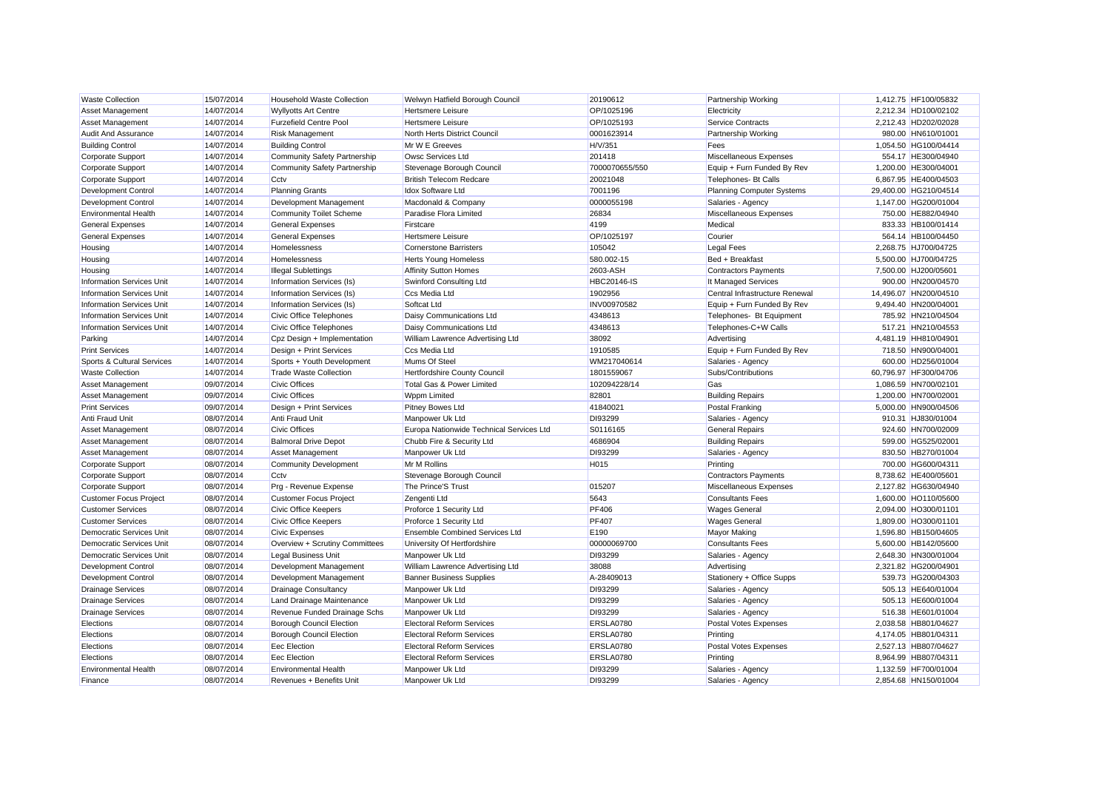| <b>Waste Collection</b>          | 15/07/2014 | Household Waste Collection                            | Welwyn Hatfield Borough Council                   | 20190612           | <b>Partnership Working</b>       | 1.412.75 HF100/05832                     |
|----------------------------------|------------|-------------------------------------------------------|---------------------------------------------------|--------------------|----------------------------------|------------------------------------------|
| <b>Asset Management</b>          | 14/07/2014 | <b>Wyllyotts Art Centre</b>                           | <b>Hertsmere Leisure</b>                          | OP/1025196         | Electricity                      | 2,212.34 HD100/02102                     |
| Asset Management                 | 14/07/2014 | <b>Furzefield Centre Pool</b>                         | Hertsmere Leisure                                 | OP/1025193         | Service Contracts                | 2.212.43 HD202/02028                     |
| <b>Audit And Assurance</b>       | 14/07/2014 | <b>Risk Management</b>                                | North Herts District Council                      | 0001623914         | Partnership Working              | 980.00 HN610/01001                       |
| <b>Building Control</b>          | 14/07/2014 | <b>Building Control</b>                               | Mr W E Greeves                                    | H/V/351            | Fees                             | 1,054.50 HG100/04414                     |
| Corporate Support                | 14/07/2014 | Community Safety Partnership                          | Owsc Services Ltd                                 | 201418             | Miscellaneous Expenses           | 554.17 HE300/04940                       |
| Corporate Support                | 14/07/2014 | Community Safety Partnership                          | Stevenage Borough Council                         | 7000070655/550     | Equip + Furn Funded By Rev       | 1,200.00 HE300/04001                     |
| Corporate Support                | 14/07/2014 | Cctv                                                  | <b>British Telecom Redcare</b>                    | 20021048           | Telephones- Bt Calls             | 6.867.95 HE400/04503                     |
| Development Control              | 14/07/2014 | <b>Planning Grants</b>                                | <b>Idox Software Ltd</b>                          | 7001196            | <b>Planning Computer Systems</b> | 29,400.00 HG210/04514                    |
| <b>Development Control</b>       | 14/07/2014 | Development Management                                | Macdonald & Company                               | 0000055198         | Salaries - Agency                | 1,147.00 HG200/01004                     |
| <b>Environmental Health</b>      | 14/07/2014 | Community Toilet Scheme                               | Paradise Flora Limited                            | 26834              | Miscellaneous Expenses           | 750.00 HE882/04940                       |
| <b>General Expenses</b>          | 14/07/2014 | <b>General Expenses</b>                               | Firstcare                                         | 4199               | Medical                          | 833.33 HB100/01414                       |
| <b>General Expenses</b>          | 14/07/2014 | <b>General Expenses</b>                               | <b>Hertsmere Leisure</b>                          | OP/1025197         | Courier                          | 564.14 HB100/04450                       |
| Housing                          | 14/07/2014 | Homelessness                                          | <b>Cornerstone Barristers</b>                     | 105042             | Legal Fees                       | 2,268.75 HJ700/04725                     |
| Housing                          | 14/07/2014 | Homelessness                                          | <b>Herts Young Homeless</b>                       | 580.002-15         | Bed + Breakfast                  | 5,500.00 HJ700/04725                     |
| Housing                          | 14/07/2014 | <b>Illegal Sublettings</b>                            | <b>Affinity Sutton Homes</b>                      | 2603-ASH           | <b>Contractors Payments</b>      | 7,500.00 HJ200/05601                     |
| <b>Information Services Unit</b> | 14/07/2014 | Information Services (Is)                             | Swinford Consulting Ltd                           | <b>HBC20146-IS</b> | It Managed Services              | 900.00 HN200/04570                       |
| <b>Information Services Unit</b> | 14/07/2014 | Information Services (Is)                             | Ccs Media Ltd                                     | 1902956            | Central Infrastructure Renewal   | 14,496.07 HN200/04510                    |
| <b>Information Services Unit</b> | 14/07/2014 | Information Services (Is)                             | Softcat Ltd                                       | INV00970582        | Equip + Furn Funded By Rev       | 9.494.40 HN200/04001                     |
| <b>Information Services Unit</b> | 14/07/2014 | Civic Office Telephones                               | Daisy Communications Ltd                          | 4348613            | Telephones- Bt Equipment         | 785.92 HN210/04504                       |
| <b>Information Services Unit</b> | 14/07/2014 | Civic Office Telephones                               | Daisy Communications Ltd                          | 4348613            | Telephones-C+W Calls             | 517.21 HN210/04553                       |
|                                  | 14/07/2014 |                                                       |                                                   | 38092              |                                  |                                          |
| Parking                          | 14/07/2014 | Cpz Design + Implementation                           | William Lawrence Advertising Ltd<br>Ccs Media Ltd | 1910585            | Advertising                      | 4.481.19 HH810/04901                     |
| <b>Print Services</b>            | 14/07/2014 | Design + Print Services                               | Mums Of Steel                                     | WM217040614        | Equip + Furn Funded By Rev       | 718.50 HN900/04001<br>600.00 HD256/01004 |
| Sports & Cultural Services       |            | Sports + Youth Development                            |                                                   |                    | Salaries - Agency                |                                          |
| <b>Waste Collection</b>          | 14/07/2014 | <b>Trade Waste Collection</b><br><b>Civic Offices</b> | Hertfordshire County Council                      | 1801559067         | Subs/Contributions               | 60,796.97 HF300/04706                    |
| <b>Asset Management</b>          | 09/07/2014 |                                                       | Total Gas & Power Limited                         | 102094228/14       | Gas                              | 1,086.59 HN700/02101                     |
| <b>Asset Management</b>          | 09/07/2014 | <b>Civic Offices</b>                                  | <b>Wppm Limited</b>                               | 82801              | <b>Building Repairs</b>          | 1.200.00 HN700/02001                     |
| <b>Print Services</b>            | 09/07/2014 | Design + Print Services                               | Pitney Bowes Ltd                                  | 41840021           | <b>Postal Franking</b>           | 5,000.00 HN900/04506                     |
| <b>Anti Fraud Unit</b>           | 08/07/2014 | Anti Fraud Unit                                       | Manpower Uk Ltd                                   | DI93299            | Salaries - Agency                | 910.31 HJ830/01004                       |
| Asset Management                 | 08/07/2014 | <b>Civic Offices</b>                                  | Europa Nationwide Technical Services Ltd          | S0116165           | <b>General Repairs</b>           | 924.60 HN700/02009                       |
| Asset Management                 | 08/07/2014 | <b>Balmoral Drive Depot</b>                           | Chubb Fire & Security Ltd                         | 4686904            | <b>Building Repairs</b>          | 599.00 HG525/02001                       |
| Asset Management                 | 08/07/2014 | Asset Management                                      | Manpower Uk Ltd                                   | DI93299            | Salaries - Agency                | 830.50 HB270/01004                       |
| Corporate Support                | 08/07/2014 | Community Development                                 | Mr M Rollins                                      | H015               | Printing                         | 700.00 HG600/04311                       |
| Corporate Support                | 08/07/2014 | Cctv                                                  | Stevenage Borough Council                         |                    | <b>Contractors Payments</b>      | 8,738.62 HE400/05601                     |
| Corporate Support                | 08/07/2014 | Prg - Revenue Expense                                 | The Prince'S Trust                                | 015207             | Miscellaneous Expenses           | 2.127.82 HG630/04940                     |
| <b>Customer Focus Project</b>    | 08/07/2014 | Customer Focus Project                                | Zengenti Ltd                                      | 5643               | <b>Consultants Fees</b>          | 1,600.00 HO110/05600                     |
| <b>Customer Services</b>         | 08/07/2014 | <b>Civic Office Keepers</b>                           | Proforce 1 Security Ltd                           | <b>PF406</b>       | <b>Wages General</b>             | 2,094.00 HO300/01101                     |
| <b>Customer Services</b>         | 08/07/2014 | <b>Civic Office Keepers</b>                           | Proforce 1 Security Ltd                           | <b>PF407</b>       | <b>Wages General</b>             | 1,809.00 HO300/01101                     |
| Democratic Services Unit         | 08/07/2014 | <b>Civic Expenses</b>                                 | <b>Ensemble Combined Services Ltd</b>             | E <sub>190</sub>   | <b>Mayor Making</b>              | 1,596.80 HB150/04605                     |
| <b>Democratic Services Unit</b>  | 08/07/2014 | Overview + Scrutiny Committees                        | University Of Hertfordshire                       | 00000069700        | <b>Consultants Fees</b>          | 5.600.00 HB142/05600                     |
| <b>Democratic Services Unit</b>  | 08/07/2014 | Legal Business Unit                                   | Manpower Uk Ltd                                   | DI93299            | Salaries - Agency                | 2,648.30 HN300/01004                     |
| <b>Development Control</b>       | 08/07/2014 | Development Management                                | William Lawrence Advertising Ltd                  | 38088              | Advertising                      | 2,321.82 HG200/04901                     |
| Development Control              | 08/07/2014 | Development Management                                | <b>Banner Business Supplies</b>                   | A-28409013         | Stationery + Office Supps        | 539.73 HG200/04303                       |
| <b>Drainage Services</b>         | 08/07/2014 | Drainage Consultancy                                  | Manpower Uk Ltd                                   | DI93299            | Salaries - Agency                | 505.13 HE640/01004                       |
| <b>Drainage Services</b>         | 08/07/2014 | Land Drainage Maintenance                             | Manpower Uk Ltd                                   | DI93299            | Salaries - Agency                | 505.13 HE600/01004                       |
| <b>Drainage Services</b>         | 08/07/2014 | Revenue Funded Drainage Schs                          | Manpower Uk Ltd                                   | DI93299            | Salaries - Agency                | 516.38 HE601/01004                       |
| Elections                        | 08/07/2014 | Borough Council Election                              | <b>Electoral Reform Services</b>                  | ERSLA0780          | <b>Postal Votes Expenses</b>     | 2,038.58 HB801/04627                     |
| Elections                        | 08/07/2014 | Borough Council Election                              | <b>Electoral Reform Services</b>                  | ERSLA0780          | Printing                         | 4,174.05 HB801/04311                     |
| Elections                        | 08/07/2014 | Eec Election                                          | <b>Electoral Reform Services</b>                  | ERSLA0780          | Postal Votes Expenses            | 2.527.13 HB807/04627                     |
| Elections                        | 08/07/2014 | Eec Election                                          | <b>Electoral Reform Services</b>                  | ERSLA0780          | Printing                         | 8,964.99 HB807/04311                     |
| <b>Environmental Health</b>      | 08/07/2014 | <b>Environmental Health</b>                           | Manpower Uk Ltd                                   | DI93299            | Salaries - Agency                | 1.132.59 HF700/01004                     |
| Finance                          | 08/07/2014 | Revenues + Benefits Unit                              | Manpower Uk Ltd                                   | DI93299            | Salaries - Agency                | 2,854.68 HN150/01004                     |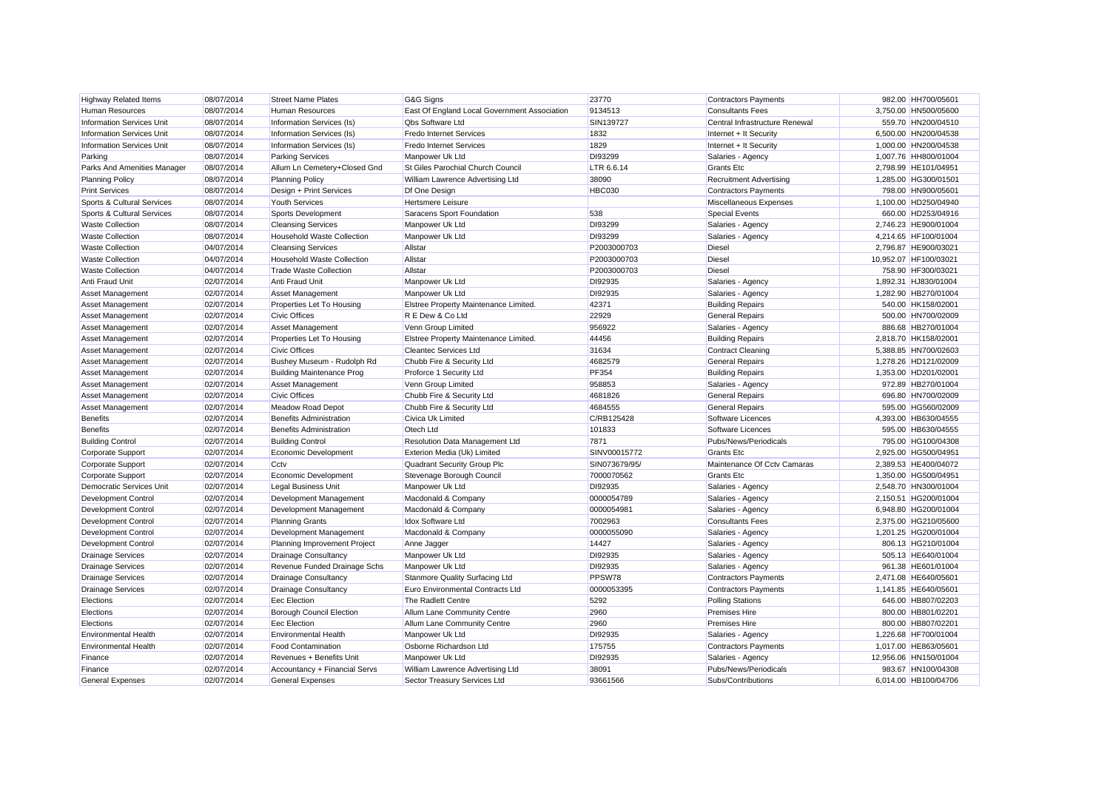| <b>Highway Related Items</b>     | 08/07/2014 | <b>Street Name Plates</b>        | G&G Signs                                    | 23770         | <b>Contractors Payments</b>    | 982.00 HH700/05601    |
|----------------------------------|------------|----------------------------------|----------------------------------------------|---------------|--------------------------------|-----------------------|
| Human Resources                  | 08/07/2014 | <b>Human Resources</b>           | East Of England Local Government Association | 9134513       | <b>Consultants Fees</b>        | 3,750.00 HN500/05600  |
| <b>Information Services Unit</b> | 08/07/2014 | Information Services (Is)        | <b>Qbs Software Ltd</b>                      | SIN139727     | Central Infrastructure Renewal | 559.70 HN200/04510    |
| <b>Information Services Unit</b> | 08/07/2014 | Information Services (Is)        | <b>Fredo Internet Services</b>               | 1832          | Internet + It Security         | 6,500.00 HN200/04538  |
| <b>Information Services Unit</b> | 08/07/2014 | Information Services (Is)        | <b>Fredo Internet Services</b>               | 1829          | Internet + It Security         | 1,000.00 HN200/04538  |
| Parking                          | 08/07/2014 | <b>Parking Services</b>          | Manpower Uk Ltd                              | DI93299       | Salaries - Agency              | 1,007.76 HH800/01004  |
| Parks And Amenities Manager      | 08/07/2014 | Allum Ln Cemetery+Closed Gnd     | St Giles Parochial Church Council            | LTR 6.6.14    | <b>Grants</b> Etc              | 2,798.99 HE101/04951  |
| <b>Planning Policy</b>           | 08/07/2014 | <b>Planning Policy</b>           | William Lawrence Advertising Ltd             | 38090         | <b>Recruitment Advertising</b> | 1,285.00 HG300/01501  |
| <b>Print Services</b>            | 08/07/2014 | Design + Print Services          | Df One Design                                | HBC030        | Contractors Payments           | 798.00 HN900/05601    |
| Sports & Cultural Services       | 08/07/2014 | <b>Youth Services</b>            | <b>Hertsmere Leisure</b>                     |               | Miscellaneous Expenses         | 1,100.00 HD250/04940  |
| Sports & Cultural Services       | 08/07/2014 | Sports Development               | Saracens Sport Foundation                    | 538           | <b>Special Events</b>          | 660.00 HD253/04916    |
| <b>Waste Collection</b>          | 08/07/2014 | <b>Cleansing Services</b>        | Manpower Uk Ltd                              | DI93299       | Salaries - Agency              | 2,746.23 HE900/01004  |
| <b>Waste Collection</b>          | 08/07/2014 | Household Waste Collection       | Manpower Uk Ltd                              | DI93299       | Salaries - Agency              | 4,214.65 HF100/01004  |
| <b>Waste Collection</b>          | 04/07/2014 | <b>Cleansing Services</b>        | Allstar                                      | P2003000703   | Diesel                         | 2,796.87 HE900/03021  |
| <b>Waste Collection</b>          | 04/07/2014 | Household Waste Collection       | Allstar                                      | P2003000703   | Diesel                         | 10,952.07 HF100/03021 |
| <b>Waste Collection</b>          | 04/07/2014 | <b>Trade Waste Collection</b>    | Allstar                                      | P2003000703   | <b>Diesel</b>                  | 758.90 HF300/03021    |
| Anti Fraud Unit                  | 02/07/2014 | Anti Fraud Unit                  | Manpower Uk Ltd                              | DI92935       | Salaries - Agency              | 1.892.31 HJ830/01004  |
| <b>Asset Management</b>          | 02/07/2014 | Asset Management                 | Manpower Uk Ltd                              | DI92935       | Salaries - Agency              | 1,282.90 HB270/01004  |
| <b>Asset Management</b>          | 02/07/2014 | Properties Let To Housing        | Elstree Property Maintenance Limited.        | 42371         | <b>Building Repairs</b>        | 540.00 HK158/02001    |
| <b>Asset Management</b>          | 02/07/2014 | <b>Civic Offices</b>             | R E Dew & Co Ltd                             | 22929         | <b>General Repairs</b>         | 500.00 HN700/02009    |
| Asset Management                 | 02/07/2014 | Asset Management                 | Venn Group Limited                           | 956922        | Salaries - Agency              | 886.68 HB270/01004    |
| <b>Asset Management</b>          | 02/07/2014 | Properties Let To Housing        | Elstree Property Maintenance Limited.        | 44456         | <b>Building Repairs</b>        | 2.818.70 HK158/02001  |
| Asset Management                 | 02/07/2014 | <b>Civic Offices</b>             | <b>Cleantec Services Ltd</b>                 | 31634         | Contract Cleaning              | 5,388.85 HN700/02603  |
| Asset Management                 | 02/07/2014 | Bushey Museum - Rudolph Rd       | Chubb Fire & Security Ltd                    | 4682579       | <b>General Repairs</b>         | 1.278.26 HD121/02009  |
| Asset Management                 | 02/07/2014 | <b>Building Maintenance Prog</b> | Proforce 1 Security Ltd                      | PF354         | <b>Building Repairs</b>        | 1,353.00 HD201/02001  |
| Asset Management                 | 02/07/2014 | Asset Management                 | Venn Group Limited                           | 958853        | Salaries - Agency              | 972.89 HB270/01004    |
| <b>Asset Management</b>          | 02/07/2014 | <b>Civic Offices</b>             | Chubb Fire & Security Ltd                    | 4681826       | <b>General Repairs</b>         | 696.80 HN700/02009    |
| Asset Management                 | 02/07/2014 | Meadow Road Depot                | Chubb Fire & Security Ltd                    | 4684555       | <b>General Repairs</b>         | 595.00 HG560/02009    |
| <b>Benefits</b>                  | 02/07/2014 | <b>Benefits Administration</b>   | Civica Uk Limited                            | C/RB125428    | Software Licences              | 4,393.00 HB630/04555  |
| <b>Benefits</b>                  | 02/07/2014 | <b>Benefits Administration</b>   | Otech Ltd                                    | 101833        | Software Licences              | 595.00 HB630/04555    |
| <b>Building Control</b>          | 02/07/2014 | <b>Building Control</b>          | Resolution Data Management Ltd               | 7871          | Pubs/News/Periodicals          | 795.00 HG100/04308    |
| Corporate Support                | 02/07/2014 | Economic Development             | Exterion Media (Uk) Limited                  | SINV00015772  | <b>Grants</b> Etc              | 2,925.00 HG500/04951  |
| Corporate Support                | 02/07/2014 | Cctv                             | Quadrant Security Group Plc                  | SIN073679/95/ | Maintenance Of Ccty Camaras    | 2,389.53 HE400/04072  |
| Corporate Support                | 02/07/2014 | Economic Development             | Stevenage Borough Council                    | 7000070562    | <b>Grants</b> Etc              | 1,350.00 HG500/04951  |
| <b>Democratic Services Unit</b>  | 02/07/2014 | Legal Business Unit              | Manpower Uk Ltd                              | DI92935       | Salaries - Agency              | 2.548.70 HN300/01004  |
| <b>Development Control</b>       | 02/07/2014 | Development Management           | Macdonald & Company                          | 0000054789    | Salaries - Agency              | 2,150.51 HG200/01004  |
| Development Control              | 02/07/2014 | Development Management           | Macdonald & Company                          | 0000054981    | Salaries - Agency              | 6,948.80 HG200/01004  |
| Development Control              | 02/07/2014 | <b>Planning Grants</b>           | Idox Software Ltd                            | 7002963       | <b>Consultants Fees</b>        | 2,375.00 HG210/05600  |
| Development Control              | 02/07/2014 | Development Management           | Macdonald & Company                          | 0000055090    | Salaries - Agency              | 1,201.25 HG200/01004  |
| Development Control              | 02/07/2014 | Planning Improvement Project     | Anne Jagger                                  | 14427         | Salaries - Agency              | 806.13 HG210/01004    |
| <b>Drainage Services</b>         | 02/07/2014 | Drainage Consultancy             | Manpower Uk Ltd                              | DI92935       | Salaries - Agency              | 505.13 HE640/01004    |
| <b>Drainage Services</b>         | 02/07/2014 | Revenue Funded Drainage Schs     | Manpower Uk Ltd                              | DI92935       |                                | 961.38 HE601/01004    |
|                                  |            |                                  |                                              | PPSW78        | Salaries - Agency              | 2.471.08 HE640/05601  |
| <b>Drainage Services</b>         | 02/07/2014 | Drainage Consultancy             | Stanmore Quality Surfacing Ltd               |               | Contractors Payments           |                       |
| <b>Drainage Services</b>         | 02/07/2014 | Drainage Consultancy             | Euro Environmental Contracts Ltd             | 0000053395    | Contractors Payments           | 1,141.85 HE640/05601  |
| Elections                        | 02/07/2014 | Eec Election                     | The Radlett Centre                           | 5292          | <b>Polling Stations</b>        | 646.00 HB807/02203    |
| Elections                        | 02/07/2014 | Borough Council Election         | Allum Lane Community Centre                  | 2960          | <b>Premises Hire</b>           | 800.00 HB801/02201    |
| Elections                        | 02/07/2014 | <b>Eec Election</b>              | Allum Lane Community Centre                  | 2960          | <b>Premises Hire</b>           | 800.00 HB807/02201    |
| <b>Environmental Health</b>      | 02/07/2014 | <b>Environmental Health</b>      | Manpower Uk Ltd                              | DI92935       | Salaries - Agency              | 1,226.68 HF700/01004  |
| <b>Environmental Health</b>      | 02/07/2014 | <b>Food Contamination</b>        | Osborne Richardson Ltd                       | 175755        | Contractors Payments           | 1.017.00 HE863/05601  |
| Finance                          | 02/07/2014 | Revenues + Benefits Unit         | Manpower Uk Ltd                              | DI92935       | Salaries - Agency              | 12,956.06 HN150/01004 |
| Finance                          | 02/07/2014 | Accountancy + Financial Servs    | William Lawrence Advertising Ltd             | 38091         | Pubs/News/Periodicals          | 983.67 HN100/04308    |
| <b>General Expenses</b>          | 02/07/2014 | <b>General Expenses</b>          | Sector Treasury Services Ltd                 | 93661566      | Subs/Contributions             | 6,014.00 HB100/04706  |